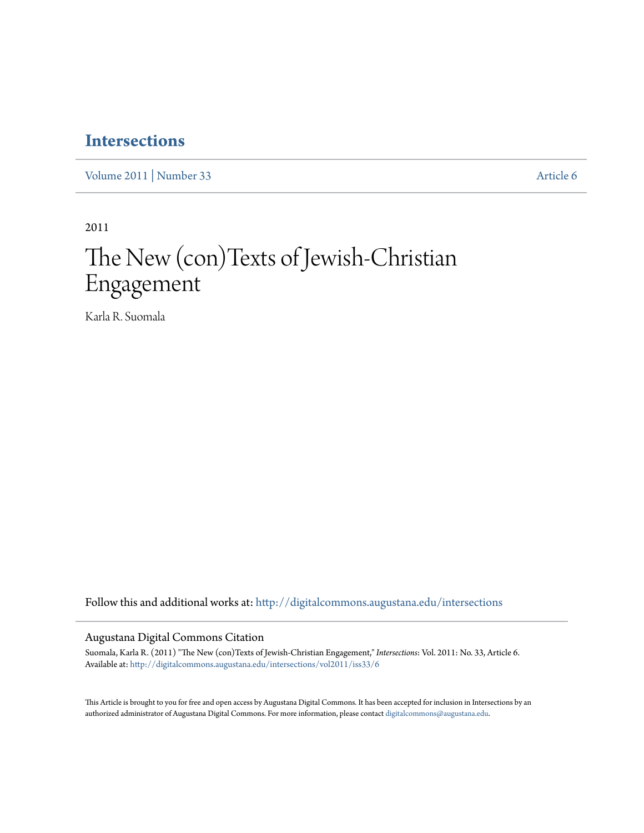## **[Intersections](http://digitalcommons.augustana.edu/intersections?utm_source=digitalcommons.augustana.edu%2Fintersections%2Fvol2011%2Fiss33%2F6&utm_medium=PDF&utm_campaign=PDFCoverPages)**

[Volume 2011](http://digitalcommons.augustana.edu/intersections/vol2011?utm_source=digitalcommons.augustana.edu%2Fintersections%2Fvol2011%2Fiss33%2F6&utm_medium=PDF&utm_campaign=PDFCoverPages) | [Number 33](http://digitalcommons.augustana.edu/intersections/vol2011/iss33?utm_source=digitalcommons.augustana.edu%2Fintersections%2Fvol2011%2Fiss33%2F6&utm_medium=PDF&utm_campaign=PDFCoverPages) [Article 6](http://digitalcommons.augustana.edu/intersections/vol2011/iss33/6?utm_source=digitalcommons.augustana.edu%2Fintersections%2Fvol2011%2Fiss33%2F6&utm_medium=PDF&utm_campaign=PDFCoverPages)

2011

# The New (con)Texts of Jewish-Christian Engagement

Karla R. Suomala

Follow this and additional works at: [http://digitalcommons.augustana.edu/intersections](http://digitalcommons.augustana.edu/intersections?utm_source=digitalcommons.augustana.edu%2Fintersections%2Fvol2011%2Fiss33%2F6&utm_medium=PDF&utm_campaign=PDFCoverPages)

#### Augustana Digital Commons Citation

Suomala, Karla R. (2011) "The New (con)Texts of Jewish-Christian Engagement," *Intersections*: Vol. 2011: No. 33, Article 6. Available at: [http://digitalcommons.augustana.edu/intersections/vol2011/iss33/6](http://digitalcommons.augustana.edu/intersections/vol2011/iss33/6?utm_source=digitalcommons.augustana.edu%2Fintersections%2Fvol2011%2Fiss33%2F6&utm_medium=PDF&utm_campaign=PDFCoverPages)

This Article is brought to you for free and open access by Augustana Digital Commons. It has been accepted for inclusion in Intersections by an authorized administrator of Augustana Digital Commons. For more information, please contact [digitalcommons@augustana.edu.](mailto:digitalcommons@augustana.edu)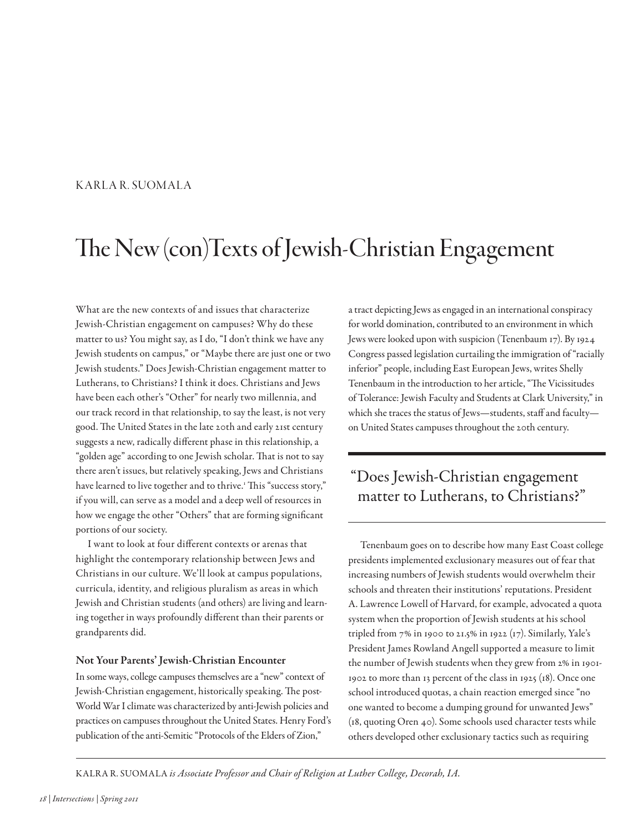### KARLA R. SUOMALA

# The New (con)Texts of Jewish-Christian Engagement

What are the new contexts of and issues that characterize Jewish-Christian engagement on campuses? Why do these matter to us? You might say, as I do, "I don't think we have any Jewish students on campus," or "Maybe there are just one or two Jewish students." Does Jewish-Christian engagement matter to Lutherans, to Christians? I think it does. Christians and Jews have been each other's "Other" for nearly two millennia, and our track record in that relationship, to say the least, is not very good. The United States in the late 20th and early 21st century suggests a new, radically diferent phase in this relationship, a "golden age" according to one Jewish scholar. That is not to say there aren't issues, but relatively speaking, Jews and Christians have learned to live together and to thrive.<sup>1</sup> This "success story," if you will, can serve as a model and a deep well of resources in how we engage the other "Others" that are forming signifcant portions of our society.

I want to look at four diferent contexts or arenas that highlight the contemporary relationship between Jews and Christians in our culture. We'll look at campus populations, curricula, identity, and religious pluralism as areas in which Jewish and Christian students (and others) are living and learning together in ways profoundly diferent than their parents or grandparents did.

#### Not Your Parents' Jewish-Christian Encounter

In some ways, college campuses themselves are a "new" context of Jewish-Christian engagement, historically speaking. The post-World War I climate was characterized by anti-Jewish policies and practices on campuses throughout the United States. Henry Ford's publication of the anti-Semitic "Protocols of the Elders of Zion,"

a tract depicting Jews as engaged in an international conspiracy for world domination, contributed to an environment in which Jews were looked upon with suspicion (Tenenbaum 17). By 1924 Congress passed legislation curtailing the immigration of "racially inferior" people, including East European Jews, writes Shelly Tenenbaum in the introduction to her article, "The Vicissitudes of Tolerance: Jewish Faculty and Students at Clark University," in which she traces the status of Jews-students, staff and facultyon United States campuses throughout the 20th century.

## "Does Jewish-Christian engagement matter to Lutherans, to Christians?"

Tenenbaum goes on to describe how many East Coast college presidents implemented exclusionary measures out of fear that increasing numbers of Jewish students would overwhelm their schools and threaten their institutions' reputations. President A. Lawrence Lowell of Harvard, for example, advocated a quota system when the proportion of Jewish students at his school tripled from 7% in 1900 to 21.5% in 1922 (17). Similarly, Yale's President James Rowland Angell supported a measure to limit the number of Jewish students when they grew from 2% in 1901- 1902 to more than 13 percent of the class in 1925 (18). Once one school introduced quotas, a chain reaction emerged since "no one wanted to become a dumping ground for unwanted Jews" (18, quoting Oren 40). Some schools used character tests while others developed other exclusionary tactics such as requiring

KALRA R. SUOMALA is Associate Professor and Chair of Religion at Luther College, Decorah, IA.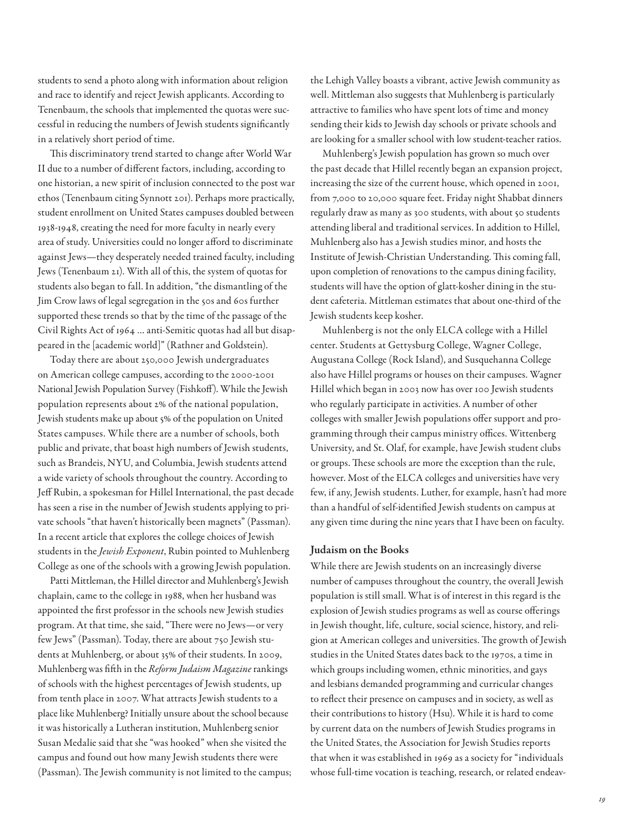students to send a photo along with information about religion and race to identify and reject Jewish applicants. According to Tenenbaum, the schools that implemented the quotas were successful in reducing the numbers of Jewish students signifcantly in a relatively short period of time.

This discriminatory trend started to change after World War II due to a number of diferent factors, including, according to one historian, a new spirit of inclusion connected to the post war ethos (Tenenbaum citing Synnott 201). Perhaps more practically, student enrollment on United States campuses doubled between 1938-1948, creating the need for more faculty in nearly every area of study. Universities could no longer aford to discriminate against Jews—they desperately needed trained faculty, including Jews (Tenenbaum 21). With all of this, the system of quotas for students also began to fall. In addition, "the dismantling of the Jim Crow laws of legal segregation in the 50s and 60s further supported these trends so that by the time of the passage of the Civil Rights Act of 1964 … anti-Semitic quotas had all but disappeared in the [academic world]" (Rathner and Goldstein).

Today there are about 250,000 Jewish undergraduates on American college campuses, according to the 2000-2001 National Jewish Population Survey (Fishkof). While the Jewish population represents about 2% of the national population, Jewish students make up about 5% of the population on United States campuses. While there are a number of schools, both public and private, that boast high numbers of Jewish students, such as Brandeis, NYU, and Columbia, Jewish students attend a wide variety of schools throughout the country. According to Jeff Rubin, a spokesman for Hillel International, the past decade has seen a rise in the number of Jewish students applying to private schools "that haven't historically been magnets" (Passman). In a recent article that explores the college choices of Jewish students in the Jewish Exponent, Rubin pointed to Muhlenberg College as one of the schools with a growing Jewish population.

Patti Mittleman, the Hillel director and Muhlenberg's Jewish chaplain, came to the college in 1988, when her husband was appointed the frst professor in the schools new Jewish studies program. At that time, she said, "There were no Jews-or very few Jews" (Passman). Today, there are about 750 Jewish students at Muhlenberg, or about 35% of their students. In 2009, Muhlenberg was fifth in the Reform Judaism Magazine rankings of schools with the highest percentages of Jewish students, up from tenth place in 2007. What attracts Jewish students to a place like Muhlenberg? Initially unsure about the school because it was historically a Lutheran institution, Muhlenberg senior Susan Medalie said that she "was hooked" when she visited the campus and found out how many Jewish students there were (Passman). The Jewish community is not limited to the campus;

the Lehigh Valley boasts a vibrant, active Jewish community as well. Mittleman also suggests that Muhlenberg is particularly attractive to families who have spent lots of time and money sending their kids to Jewish day schools or private schools and are looking for a smaller school with low student-teacher ratios.

Muhlenberg's Jewish population has grown so much over the past decade that Hillel recently began an expansion project, increasing the size of the current house, which opened in 2001, from 7,000 to 20,000 square feet. Friday night Shabbat dinners regularly draw as many as 300 students, with about 50 students attending liberal and traditional services. In addition to Hillel, Muhlenberg also has a Jewish studies minor, and hosts the Institute of Jewish-Christian Understanding. This coming fall, upon completion of renovations to the campus dining facility, students will have the option of glatt-kosher dining in the student cafeteria. Mittleman estimates that about one-third of the Jewish students keep kosher.

Muhlenberg is not the only ELCA college with a Hillel center. Students at Gettysburg College, Wagner College, Augustana College (Rock Island), and Susquehanna College also have Hillel programs or houses on their campuses. Wagner Hillel which began in 2003 now has over 100 Jewish students who regularly participate in activities. A number of other colleges with smaller Jewish populations offer support and programming through their campus ministry offices. Wittenberg University, and St. Olaf, for example, have Jewish student clubs or groups. These schools are more the exception than the rule, however. Most of the ELCA colleges and universities have very few, if any, Jewish students. Luther, for example, hasn't had more than a handful of self-identifed Jewish students on campus at any given time during the nine years that I have been on faculty.

#### Judaism on the Books

While there are Jewish students on an increasingly diverse number of campuses throughout the country, the overall Jewish population is still small. What is of interest in this regard is the explosion of Jewish studies programs as well as course oferings in Jewish thought, life, culture, social science, history, and religion at American colleges and universities. The growth of Jewish studies in the United States dates back to the 1970s, a time in which groups including women, ethnic minorities, and gays and lesbians demanded programming and curricular changes to refect their presence on campuses and in society, as well as their contributions to history (Hsu). While it is hard to come by current data on the numbers of Jewish Studies programs in the United States, the Association for Jewish Studies reports that when it was established in 1969 as a society for "individuals whose full-time vocation is teaching, research, or related endeav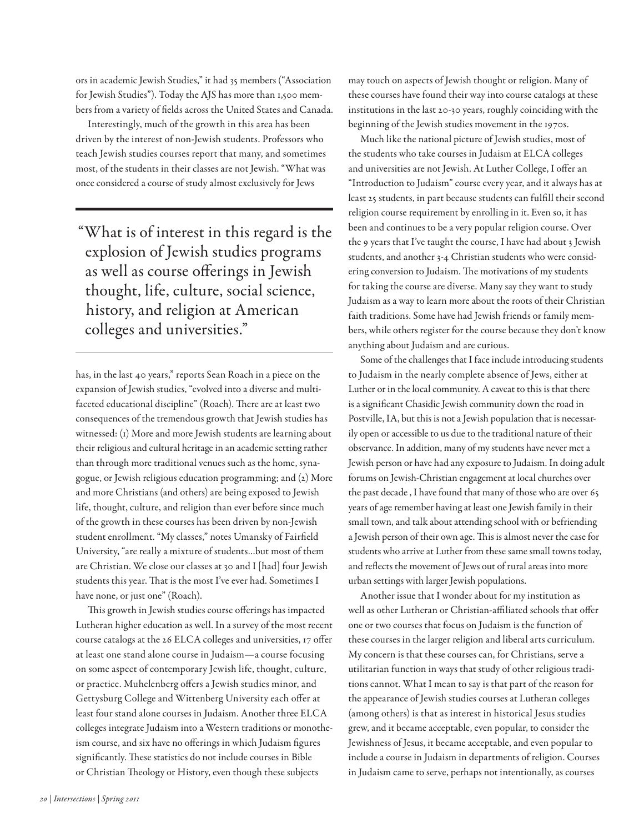ors in academic Jewish Studies," it had 35 members ("Association for Jewish Studies"). Today the AJS has more than 1,500 members from a variety of felds across the United States and Canada.

Interestingly, much of the growth in this area has been driven by the interest of non-Jewish students. Professors who teach Jewish studies courses report that many, and sometimes most, of the students in their classes are not Jewish. "What was once considered a course of study almost exclusively for Jews

"What is of interest in this regard is the explosion of Jewish studies programs as well as course oferings in Jewish thought, life, culture, social science, history, and religion at American colleges and universities."

has, in the last 40 years," reports Sean Roach in a piece on the expansion of Jewish studies, "evolved into a diverse and multifaceted educational discipline" (Roach). There are at least two consequences of the tremendous growth that Jewish studies has witnessed: (1) More and more Jewish students are learning about their religious and cultural heritage in an academic setting rather than through more traditional venues such as the home, synagogue, or Jewish religious education programming; and (2) More and more Christians (and others) are being exposed to Jewish life, thought, culture, and religion than ever before since much of the growth in these courses has been driven by non-Jewish student enrollment. "My classes," notes Umansky of Fairfeld University, "are really a mixture of students…but most of them are Christian. We close our classes at 30 and I [had] four Jewish students this year. That is the most I've ever had. Sometimes I have none, or just one" (Roach).

This growth in Jewish studies course offerings has impacted Lutheran higher education as well. In a survey of the most recent course catalogs at the 26 ELCA colleges and universities, 17 ofer at least one stand alone course in Judaism—a course focusing on some aspect of contemporary Jewish life, thought, culture, or practice. Muhelenberg offers a Jewish studies minor, and Gettysburg College and Wittenberg University each offer at least four stand alone courses in Judaism. Another three ELCA colleges integrate Judaism into a Western traditions or monotheism course, and six have no offerings in which Judaism figures significantly. These statistics do not include courses in Bible or Christian Theology or History, even though these subjects

may touch on aspects of Jewish thought or religion. Many of these courses have found their way into course catalogs at these institutions in the last 20-30 years, roughly coinciding with the beginning of the Jewish studies movement in the 1970s.

Much like the national picture of Jewish studies, most of the students who take courses in Judaism at ELCA colleges and universities are not Jewish. At Luther College, I offer an "Introduction to Judaism" course every year, and it always has at least 25 students, in part because students can fulfll their second religion course requirement by enrolling in it. Even so, it has been and continues to be a very popular religion course. Over the 9 years that I've taught the course, I have had about 3 Jewish students, and another 3-4 Christian students who were considering conversion to Judaism. The motivations of my students for taking the course are diverse. Many say they want to study Judaism as a way to learn more about the roots of their Christian faith traditions. Some have had Jewish friends or family members, while others register for the course because they don't know anything about Judaism and are curious.

Some of the challenges that I face include introducing students to Judaism in the nearly complete absence of Jews, either at Luther or in the local community. A caveat to this is that there is a signifcant Chasidic Jewish community down the road in Postville, IA, but this is not a Jewish population that is necessarily open or accessible to us due to the traditional nature of their observance. In addition, many of my students have never met a Jewish person or have had any exposure to Judaism. In doing adult forums on Jewish-Christian engagement at local churches over the past decade , I have found that many of those who are over 65 years of age remember having at least one Jewish family in their small town, and talk about attending school with or befriending a Jewish person of their own age. This is almost never the case for students who arrive at Luther from these same small towns today, and refects the movement of Jews out of rural areas into more urban settings with larger Jewish populations.

Another issue that I wonder about for my institution as well as other Lutheran or Christian-affiliated schools that offer one or two courses that focus on Judaism is the function of these courses in the larger religion and liberal arts curriculum. My concern is that these courses can, for Christians, serve a utilitarian function in ways that study of other religious traditions cannot. What I mean to say is that part of the reason for the appearance of Jewish studies courses at Lutheran colleges (among others) is that as interest in historical Jesus studies grew, and it became acceptable, even popular, to consider the Jewishness of Jesus, it became acceptable, and even popular to include a course in Judaism in departments of religion. Courses in Judaism came to serve, perhaps not intentionally, as courses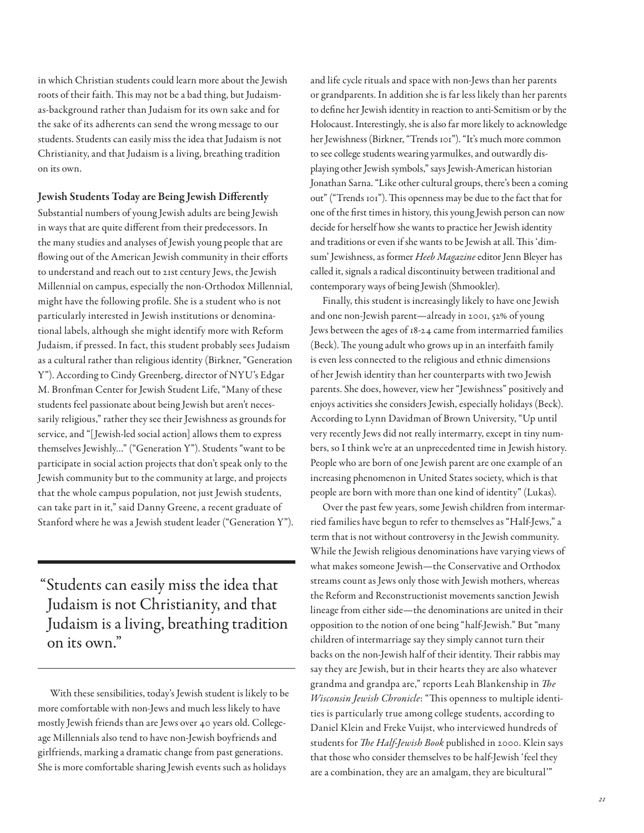in which Christian students could learn more about the Jewish roots of their faith. This may not be a bad thing, but Judaismas-background rather than Judaism for its own sake and for the sake of its adherents can send the wrong message to our students. Students can easily miss the idea that Judaism is not Christianity, and that Judaism is a living, breathing tradition on its own.

Jewish Students Today are Being Jewish Diferently Substantial numbers of young Jewish adults are being Jewish in ways that are quite diferent from their predecessors. In the many studies and analyses of Jewish young people that are flowing out of the American Jewish community in their efforts to understand and reach out to 21st century Jews, the Jewish Millennial on campus, especially the non-Orthodox Millennial, might have the following profle. She is a student who is not particularly interested in Jewish institutions or denominational labels, although she might identify more with Reform Judaism, if pressed. In fact, this student probably sees Judaism as a cultural rather than religious identity (Birkner, "Generation Y"). According to Cindy Greenberg, director of NYU's Edgar M. Bronfman Center for Jewish Student Life, "Many of these students feel passionate about being Jewish but aren't necessarily religious," rather they see their Jewishness as grounds for service, and "[Jewish-led social action] allows them to express themselves Jewishly…" ("Generation Y"). Students "want to be participate in social action projects that don't speak only to the Jewish community but to the community at large, and projects that the whole campus population, not just Jewish students, can take part in it," said Danny Greene, a recent graduate of

"Students can easily miss the idea that Judaism is not Christianity, and that Judaism is a living, breathing tradition on its own."

Stanford where he was a Jewish student leader ("Generation Y").

With these sensibilities, today's Jewish student is likely to be more comfortable with non-Jews and much less likely to have mostly Jewish friends than are Jews over 40 years old. Collegeage Millennials also tend to have non-Jewish boyfriends and girlfriends, marking a dramatic change from past generations. She is more comfortable sharing Jewish events such as holidays

and life cycle rituals and space with non-Jews than her parents or grandparents. In addition she is far less likely than her parents to defne her Jewish identity in reaction to anti-Semitism or by the Holocaust. Interestingly, she is also far more likely to acknowledge her Jewishness (Birkner, "Trends 101"). "It's much more common to see college students wearing yarmulkes, and outwardly displaying other Jewish symbols," says Jewish-American historian Jonathan Sarna. "Like other cultural groups, there's been a coming out" ("Trends 101"). This openness may be due to the fact that for one of the frst times in history, this young Jewish person can now decide for herself how she wants to practice her Jewish identity and traditions or even if she wants to be Jewish at all. This 'dimsum' Jewishness, as former Heeb Magazine editor Jenn Bleyer has called it, signals a radical discontinuity between traditional and contemporary ways of being Jewish (Shmookler).

Finally, this student is increasingly likely to have one Jewish and one non-Jewish parent—already in 2001, 52% of young Jews between the ages of 18-24 came from intermarried families (Beck). The young adult who grows up in an interfaith family is even less connected to the religious and ethnic dimensions of her Jewish identity than her counterparts with two Jewish parents. She does, however, view her "Jewishness" positively and enjoys activities she considers Jewish, especially holidays (Beck). According to Lynn Davidman of Brown University, "Up until very recently Jews did not really intermarry, except in tiny numbers, so I think we're at an unprecedented time in Jewish history. People who are born of one Jewish parent are one example of an increasing phenomenon in United States society, which is that people are born with more than one kind of identity" (Lukas).

Over the past few years, some Jewish children from intermarried families have begun to refer to themselves as "Half-Jews," a term that is not without controversy in the Jewish community. While the Jewish religious denominations have varying views of what makes someone Jewish—the Conservative and Orthodox streams count as Jews only those with Jewish mothers, whereas the Reform and Reconstructionist movements sanction Jewish lineage from either side—the denominations are united in their opposition to the notion of one being "half-Jewish." But "many children of intermarriage say they simply cannot turn their backs on the non-Jewish half of their identity. Their rabbis may say they are Jewish, but in their hearts they are also whatever grandma and grandpa are," reports Leah Blankenship in  $The$ Wisconsin Jewish Chronicle: "This openness to multiple identities is particularly true among college students, according to Daniel Klein and Freke Vuijst, who interviewed hundreds of students for The Half-Jewish Book published in 2000. Klein says that those who consider themselves to be half-Jewish 'feel they are a combination, they are an amalgam, they are bicultural'"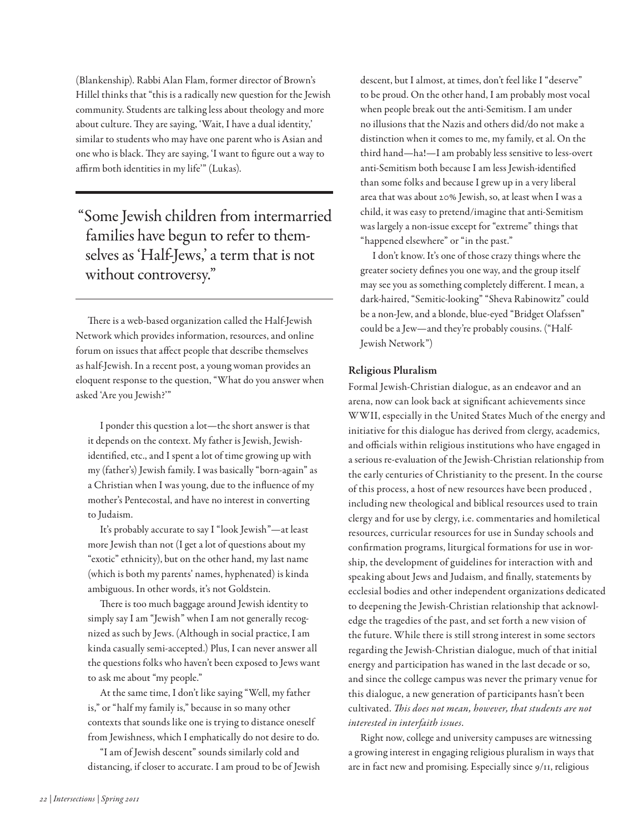(Blankenship). Rabbi Alan Flam, former director of Brown's Hillel thinks that "this is a radically new question for the Jewish community. Students are talking less about theology and more about culture. They are saying, 'Wait, I have a dual identity,' similar to students who may have one parent who is Asian and one who is black. They are saying, 'I want to figure out a way to affirm both identities in my life"" (Lukas).

"Some Jewish children from intermarried families have begun to refer to themselves as 'Half-Jews,' a term that is not without controversy."

There is a web-based organization called the Half-Jewish Network which provides information, resources, and online forum on issues that afect people that describe themselves as half-Jewish. In a recent post, a young woman provides an eloquent response to the question, "What do you answer when asked 'Are you Jewish?'"

I ponder this question a lot—the short answer is that it depends on the context. My father is Jewish, Jewishidentifed, etc., and I spent a lot of time growing up with my (father's) Jewish family. I was basically "born-again" as a Christian when I was young, due to the infuence of my mother's Pentecostal, and have no interest in converting to Judaism.

It's probably accurate to say I "look Jewish"—at least more Jewish than not (I get a lot of questions about my "exotic" ethnicity), but on the other hand, my last name (which is both my parents' names, hyphenated) is kinda ambiguous. In other words, it's not Goldstein.

There is too much baggage around Jewish identity to simply say I am "Jewish" when I am not generally recognized as such by Jews. (Although in social practice, I am kinda casually semi-accepted.) Plus, I can never answer all the questions folks who haven't been exposed to Jews want to ask me about "my people."

At the same time, I don't like saying "Well, my father is," or "half my family is," because in so many other contexts that sounds like one is trying to distance oneself from Jewishness, which I emphatically do not desire to do.

"I am of Jewish descent" sounds similarly cold and distancing, if closer to accurate. I am proud to be of Jewish descent, but I almost, at times, don't feel like I "deserve" to be proud. On the other hand, I am probably most vocal when people break out the anti-Semitism. I am under no illusions that the Nazis and others did/do not make a distinction when it comes to me, my family, et al. On the third hand—ha!—I am probably less sensitive to less-overt anti-Semitism both because I am less Jewish-identifed than some folks and because I grew up in a very liberal area that was about 20% Jewish, so, at least when I was a child, it was easy to pretend/imagine that anti-Semitism was largely a non-issue except for "extreme" things that "happened elsewhere" or "in the past."

I don't know. It's one of those crazy things where the greater society defnes you one way, and the group itself may see you as something completely diferent. I mean, a dark-haired, "Semitic-looking" "Sheva Rabinowitz" could be a non-Jew, and a blonde, blue-eyed "Bridget Olafssen" could be a Jew—and they're probably cousins. ("Half-Jewish Network")

### Religious Pluralism

Formal Jewish-Christian dialogue, as an endeavor and an arena, now can look back at signifcant achievements since WWII, especially in the United States Much of the energy and initiative for this dialogue has derived from clergy, academics, and officials within religious institutions who have engaged in a serious re-evaluation of the Jewish-Christian relationship from the early centuries of Christianity to the present. In the course of this process, a host of new resources have been produced , including new theological and biblical resources used to train clergy and for use by clergy, i.e. commentaries and homiletical resources, curricular resources for use in Sunday schools and confrmation programs, liturgical formations for use in worship, the development of guidelines for interaction with and speaking about Jews and Judaism, and fnally, statements by ecclesial bodies and other independent organizations dedicated to deepening the Jewish-Christian relationship that acknowledge the tragedies of the past, and set forth a new vision of the future. While there is still strong interest in some sectors regarding the Jewish-Christian dialogue, much of that initial energy and participation has waned in the last decade or so, and since the college campus was never the primary venue for this dialogue, a new generation of participants hasn't been cultivated. This does not mean, however, that students are not interested in interfaith issues.

Right now, college and university campuses are witnessing a growing interest in engaging religious pluralism in ways that are in fact new and promising. Especially since 9/11, religious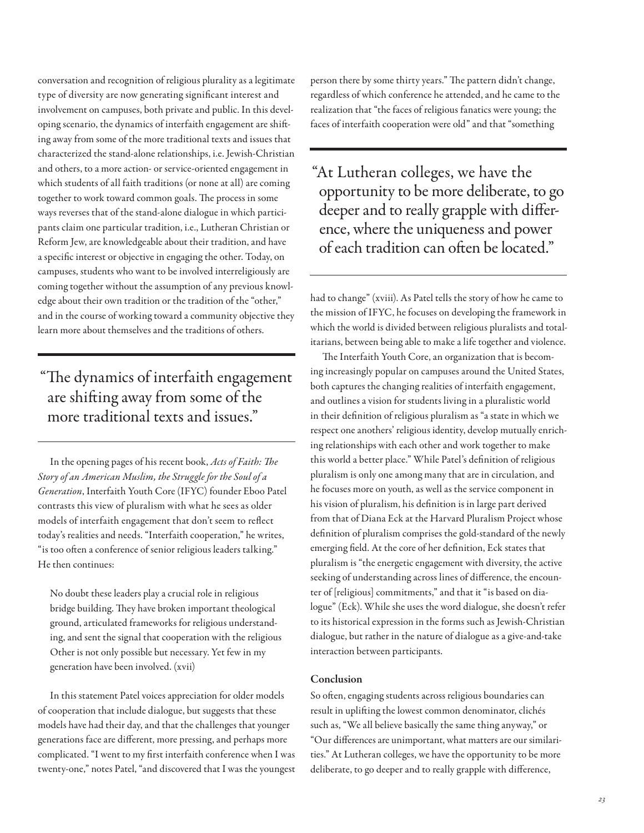conversation and recognition of religious plurality as a legitimate type of diversity are now generating signifcant interest and involvement on campuses, both private and public. In this developing scenario, the dynamics of interfaith engagement are shifing away from some of the more traditional texts and issues that characterized the stand-alone relationships, i.e. Jewish-Christian and others, to a more action- or service-oriented engagement in which students of all faith traditions (or none at all) are coming together to work toward common goals. The process in some ways reverses that of the stand-alone dialogue in which participants claim one particular tradition, i.e., Lutheran Christian or Reform Jew, are knowledgeable about their tradition, and have a specifc interest or objective in engaging the other. Today, on campuses, students who want to be involved interreligiously are coming together without the assumption of any previous knowledge about their own tradition or the tradition of the "other," and in the course of working toward a community objective they learn more about themselves and the traditions of others.

## "The dynamics of interfaith engagement are shifing away from some of the more traditional texts and issues."

In the opening pages of his recent book, Acts of Faith: The Story of an American Muslim, the Struggle for the Soul of a Generation, Interfaith Youth Core (IFYC) founder Eboo Patel contrasts this view of pluralism with what he sees as older models of interfaith engagement that don't seem to refect today's realities and needs. "Interfaith cooperation," he writes, "is too often a conference of senior religious leaders talking." He then continues:

No doubt these leaders play a crucial role in religious bridge building. They have broken important theological ground, articulated frameworks for religious understanding, and sent the signal that cooperation with the religious Other is not only possible but necessary. Yet few in my generation have been involved. (xvii)

In this statement Patel voices appreciation for older models of cooperation that include dialogue, but suggests that these models have had their day, and that the challenges that younger generations face are diferent, more pressing, and perhaps more complicated. "I went to my frst interfaith conference when I was twenty-one," notes Patel, "and discovered that I was the youngest person there by some thirty years." The pattern didn't change, regardless of which conference he attended, and he came to the realization that "the faces of religious fanatics were young; the faces of interfaith cooperation were old" and that "something

"At Lutheran colleges, we have the opportunity to be more deliberate, to go deeper and to really grapple with diference, where the uniqueness and power of each tradition can often be located."

had to change" (xviii). As Patel tells the story of how he came to the mission of IFYC, he focuses on developing the framework in which the world is divided between religious pluralists and totalitarians, between being able to make a life together and violence.

The Interfaith Youth Core, an organization that is becoming increasingly popular on campuses around the United States, both captures the changing realities of interfaith engagement, and outlines a vision for students living in a pluralistic world in their defnition of religious pluralism as "a state in which we respect one anothers' religious identity, develop mutually enriching relationships with each other and work together to make this world a better place." While Patel's defnition of religious pluralism is only one among many that are in circulation, and he focuses more on youth, as well as the service component in his vision of pluralism, his defnition is in large part derived from that of Diana Eck at the Harvard Pluralism Project whose defnition of pluralism comprises the gold-standard of the newly emerging feld. At the core of her defnition, Eck states that pluralism is "the energetic engagement with diversity, the active seeking of understanding across lines of diference, the encounter of [religious] commitments," and that it "is based on dialogue" (Eck). While she uses the word dialogue, she doesn't refer to its historical expression in the forms such as Jewish-Christian dialogue, but rather in the nature of dialogue as a give-and-take interaction between participants.

#### Conclusion

So often, engaging students across religious boundaries can result in uplifing the lowest common denominator, clichés such as, "We all believe basically the same thing anyway," or "Our diferences are unimportant, what matters are our similarities." At Lutheran colleges, we have the opportunity to be more deliberate, to go deeper and to really grapple with diference,